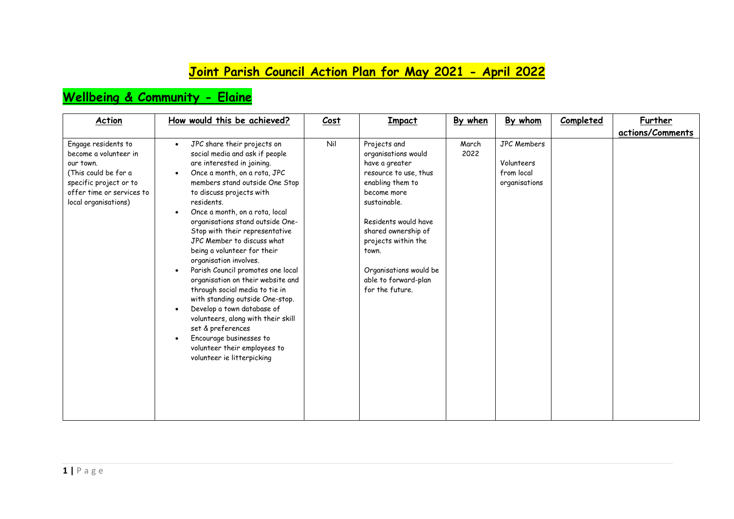### **Joint Parish Council Action Plan for May 2021 - April 2022**

#### **Wellbeing & Community - Elaine**

| <b>Action</b>                                                                                                                                                    | How would this be achieved?                                                                                                                                                                                                                                                                                                                                                                                                                                                                                                                                                                                                                                                                                                                                                                 | Cost | Impact                                                                                                                                                                                                                                                                                | By when       | By whom                                                         | Completed | Further          |
|------------------------------------------------------------------------------------------------------------------------------------------------------------------|---------------------------------------------------------------------------------------------------------------------------------------------------------------------------------------------------------------------------------------------------------------------------------------------------------------------------------------------------------------------------------------------------------------------------------------------------------------------------------------------------------------------------------------------------------------------------------------------------------------------------------------------------------------------------------------------------------------------------------------------------------------------------------------------|------|---------------------------------------------------------------------------------------------------------------------------------------------------------------------------------------------------------------------------------------------------------------------------------------|---------------|-----------------------------------------------------------------|-----------|------------------|
|                                                                                                                                                                  |                                                                                                                                                                                                                                                                                                                                                                                                                                                                                                                                                                                                                                                                                                                                                                                             |      |                                                                                                                                                                                                                                                                                       |               |                                                                 |           | actions/Comments |
| Engage residents to<br>become a volunteer in<br>our town.<br>(This could be for a<br>specific project or to<br>offer time or services to<br>local organisations) | JPC share their projects on<br>$\bullet$<br>social media and ask if people<br>are interested in joining.<br>Once a month, on a rota, JPC<br>members stand outside One Stop<br>to discuss projects with<br>residents.<br>Once a month, on a rota, local<br>$\bullet$<br>organisations stand outside One-<br>Stop with their representative<br>JPC Member to discuss what<br>being a volunteer for their<br>organisation involves.<br>Parish Council promotes one local<br>$\bullet$<br>organisation on their website and<br>through social media to tie in<br>with standing outside One-stop.<br>Develop a town database of<br>$\bullet$<br>volunteers, along with their skill<br>set & preferences<br>Encourage businesses to<br>volunteer their employees to<br>volunteer ie litterpicking | Nil  | Projects and<br>organisations would<br>have a greater<br>resource to use, thus<br>enabling them to<br>become more<br>sustainable.<br>Residents would have<br>shared ownership of<br>projects within the<br>town.<br>Organisations would be<br>able to forward-plan<br>for the future. | March<br>2022 | <b>JPC Members</b><br>Volunteers<br>from local<br>organisations |           |                  |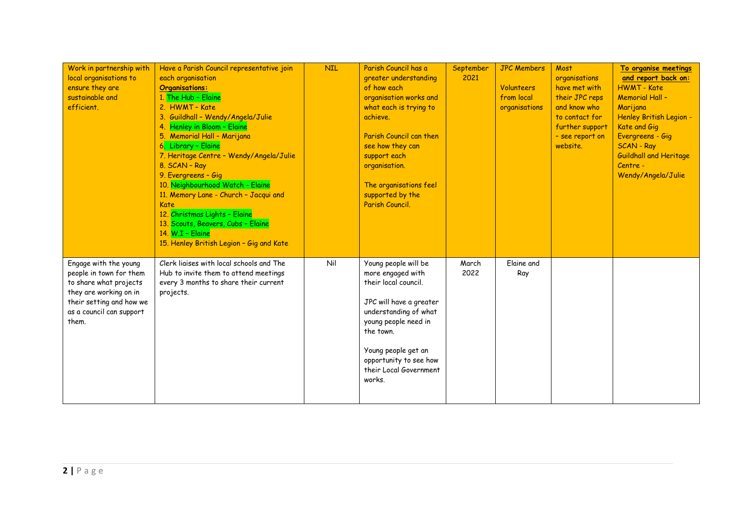| Work in partnership with<br>local organisations to<br>ensure they are<br>sustainable and<br>efficient.                                                                | Have a Parish Council representative join<br>each organisation<br><b>Organisations:</b><br>1. The Hub - Elaine<br>2. HWMT - Kate<br>3. Guildhall - Wendy/Angela/Julie<br>4. Henley in Bloom - Elaine<br>5. Memorial Hall - Marijana<br>6. Library - Elaine<br>7. Heritage Centre - Wendy/Angela/Julie<br>8. SCAN - Ray<br>9. Evergreens - Gig<br>10. Neighbourhood Watch - Elaine<br>11. Memory Lane - Church - Jacqui and<br>Kate<br>12. Christmas Lights - Elaine<br>13. Scouts, Beavers, Cubs - Elaine<br>14. W.I - Elaine<br>15. Henley British Legion - Gig and Kate | <b>NIL</b> | Parish Council has a<br>greater understanding<br>of how each<br>organisation works and<br>what each is trying to<br>achieve.<br>Parish Council can then<br>see how they can<br>support each<br>organisation.<br>The organisations feel<br>supported by the<br>Parish Council. | September<br>2021 | <b>JPC Members</b><br><b>Volunteers</b><br>from local<br>organisations | Most<br>organisations<br>have met with<br>their JPC reps<br>and know who<br>to contact for<br>further support<br>- see report on<br>website. | To organise meetings<br>and report back on:<br><b>HWMT - Kate</b><br><b>Memorial Hall -</b><br>Marijana<br>Henley British Legion -<br>Kate and Gig<br>Evergreens - Gig<br><b>SCAN - Ray</b><br><b>Guildhall and Heritage</b><br>Centre -<br>Wendy/Angela/Julie |
|-----------------------------------------------------------------------------------------------------------------------------------------------------------------------|---------------------------------------------------------------------------------------------------------------------------------------------------------------------------------------------------------------------------------------------------------------------------------------------------------------------------------------------------------------------------------------------------------------------------------------------------------------------------------------------------------------------------------------------------------------------------|------------|-------------------------------------------------------------------------------------------------------------------------------------------------------------------------------------------------------------------------------------------------------------------------------|-------------------|------------------------------------------------------------------------|----------------------------------------------------------------------------------------------------------------------------------------------|----------------------------------------------------------------------------------------------------------------------------------------------------------------------------------------------------------------------------------------------------------------|
| Engage with the young<br>people in town for them<br>to share what projects<br>they are working on in<br>their setting and how we<br>as a council can support<br>them. | Clerk liaises with local schools and The<br>Hub to invite them to attend meetings<br>every 3 months to share their current<br>projects.                                                                                                                                                                                                                                                                                                                                                                                                                                   | Nil        | Young people will be<br>more engaged with<br>their local council.<br>JPC will have a greater<br>understanding of what<br>young people need in<br>the town.<br>Young people get an<br>opportunity to see how<br>their Local Government<br>works.                               | March<br>2022     | Elaine and<br>Ray                                                      |                                                                                                                                              |                                                                                                                                                                                                                                                                |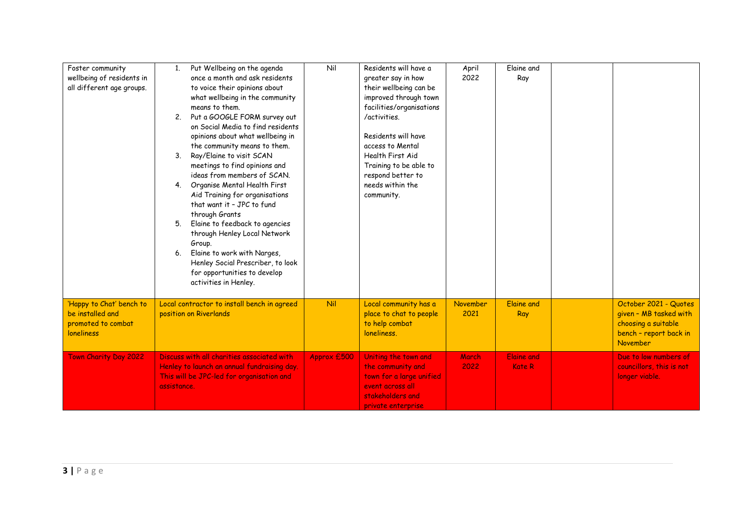| Foster community<br>wellbeing of residents in<br>all different age groups.              | 1.<br>2.<br>3 <sub>1</sub><br>5.<br>6. | Put Wellbeing on the agenda<br>once a month and ask residents<br>to voice their opinions about<br>what wellbeing in the community<br>means to them.<br>Put a GOOGLE FORM survey out<br>on Social Media to find residents<br>opinions about what wellbeing in<br>the community means to them.<br>Ray/Elaine to visit SCAN<br>meetings to find opinions and<br>ideas from members of SCAN.<br>4. Organise Mental Health First<br>Aid Training for organisations<br>that want it - JPC to fund<br>through Grants<br>Elaine to feedback to agencies<br>through Henley Local Network<br>Group.<br>Elaine to work with Narges,<br>Henley Social Prescriber, to look<br>for opportunities to develop<br>activities in Henley. | Nil         | Residents will have a<br>greater say in how<br>their wellbeing can be<br>improved through town<br>facilities/organisations<br>/activities.<br>Residents will have<br>access to Mental<br>Health First Aid<br>Training to be able to<br>respond better to<br>needs within the<br>community. | April<br>2022    | Elaine and<br>Ray                  |                                                                                                              |
|-----------------------------------------------------------------------------------------|----------------------------------------|------------------------------------------------------------------------------------------------------------------------------------------------------------------------------------------------------------------------------------------------------------------------------------------------------------------------------------------------------------------------------------------------------------------------------------------------------------------------------------------------------------------------------------------------------------------------------------------------------------------------------------------------------------------------------------------------------------------------|-------------|--------------------------------------------------------------------------------------------------------------------------------------------------------------------------------------------------------------------------------------------------------------------------------------------|------------------|------------------------------------|--------------------------------------------------------------------------------------------------------------|
| 'Happy to Chat' bench to<br>be installed and<br>promoted to combat<br><b>loneliness</b> |                                        | Local contractor to install bench in agreed<br>position on Riverlands                                                                                                                                                                                                                                                                                                                                                                                                                                                                                                                                                                                                                                                  | Nil         | Local community has a<br>place to chat to people<br>to help combat<br>loneliness.                                                                                                                                                                                                          | November<br>2021 | <b>Elaine and</b><br>Ray           | October 2021 - Quotes<br>given - MB tasked with<br>choosing a suitable<br>bench - report back in<br>November |
| Town Charity Day 2022                                                                   | assistance.                            | Discuss with all charities associated with<br>Henley to launch an annual fundraising day.<br>This will be JPC-led for organisation and                                                                                                                                                                                                                                                                                                                                                                                                                                                                                                                                                                                 | Approx £500 | Uniting the town and<br>the community and<br>town for a large unified<br>event across all<br>stakeholders and<br>private enterprise                                                                                                                                                        | March<br>2022    | <b>Elaine and</b><br><b>Kate R</b> | Due to low numbers of<br>councillors, this is not<br>longer viable.                                          |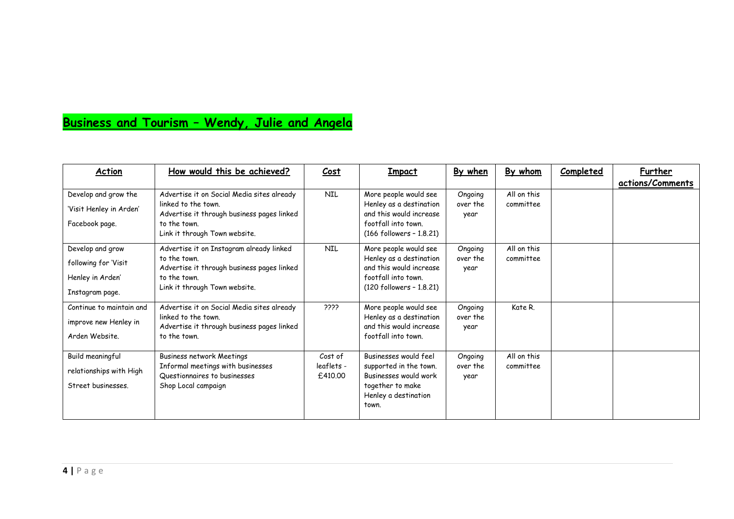## **Business and Tourism – Wendy, Julie and Angela**

| <b>Action</b>                                                                   | How would this be achieved?                                                                                                                                      | Cost                             | <b>Impact</b>                                                                                                                    | By when                     | By whom                  | Completed | Further<br>actions/Comments |
|---------------------------------------------------------------------------------|------------------------------------------------------------------------------------------------------------------------------------------------------------------|----------------------------------|----------------------------------------------------------------------------------------------------------------------------------|-----------------------------|--------------------------|-----------|-----------------------------|
| Develop and grow the<br>'Visit Henley in Arden'<br>Facebook page.               | Advertise it on Social Media sites already<br>linked to the town.<br>Advertise it through business pages linked<br>to the town.<br>Link it through Town website. | <b>NIL</b>                       | More people would see<br>Henley as a destination<br>and this would increase<br>footfall into town.<br>(166 followers - 1.8.21)   | Ongoing<br>over the<br>year | All on this<br>committee |           |                             |
| Develop and grow<br>following for 'Visit<br>Henley in Arden'<br>Instagram page. | Advertise it on Instagram already linked<br>to the town.<br>Advertise it through business pages linked<br>to the town.<br>Link it through Town website.          | <b>NIL</b>                       | More people would see<br>Henley as a destination<br>and this would increase<br>footfall into town.<br>$(120$ followers - 1.8.21) | Ongoing<br>over the<br>year | All on this<br>committee |           |                             |
| Continue to maintain and<br>improve new Henley in<br>Arden Website.             | Advertise it on Social Media sites already<br>linked to the town.<br>Advertise it through business pages linked<br>to the town.                                  | 5555                             | More people would see<br>Henley as a destination<br>and this would increase<br>footfall into town.                               | Ongoing<br>over the<br>year | Kate R.                  |           |                             |
| Build meaningful<br>relationships with High<br>Street businesses.               | Business network Meetings<br>Informal meetings with businesses<br>Questionnaires to businesses<br>Shop Local campaign                                            | Cost of<br>leaflets -<br>£410.00 | Businesses would feel<br>supported in the town.<br>Businesses would work<br>together to make<br>Henley a destination<br>town.    | Ongoing<br>over the<br>year | All on this<br>committee |           |                             |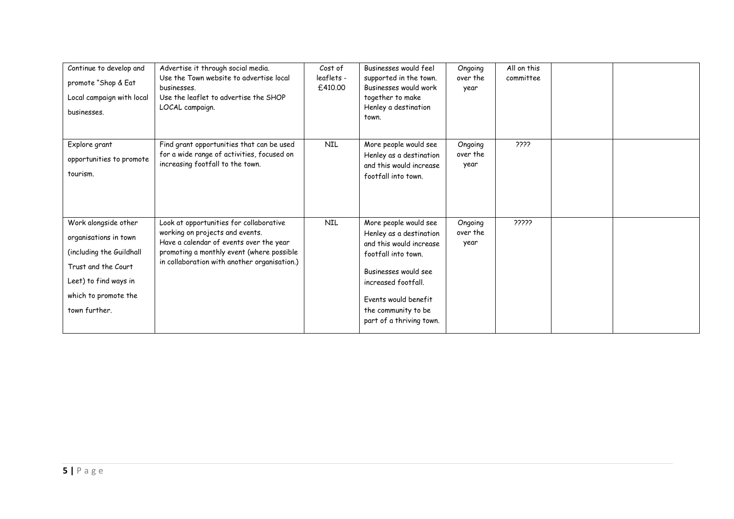| Continue to develop and<br>promote "Shop & Eat<br>Local campaign with local<br>businesses.                                                                         | Advertise it through social media.<br>Use the Town website to advertise local<br>businesses.<br>Use the leaflet to advertise the SHOP<br>LOCAL campaign.                                                           | Cost of<br>leaflets -<br>£410.00 | Businesses would feel<br>supported in the town.<br>Businesses would work<br>together to make<br>Henley a destination<br>town.                                                                                                | Ongoing<br>over the<br>year | All on this<br>committee |  |
|--------------------------------------------------------------------------------------------------------------------------------------------------------------------|--------------------------------------------------------------------------------------------------------------------------------------------------------------------------------------------------------------------|----------------------------------|------------------------------------------------------------------------------------------------------------------------------------------------------------------------------------------------------------------------------|-----------------------------|--------------------------|--|
| Explore grant<br>opportunities to promote<br>tourism.                                                                                                              | Find grant opportunities that can be used<br>for a wide range of activities, focused on<br>increasing footfall to the town.                                                                                        | <b>NIL</b>                       | More people would see<br>Henley as a destination<br>and this would increase<br>footfall into town.                                                                                                                           | Ongoing<br>over the<br>year | ذذذذ                     |  |
| Work alongside other<br>organisations in town<br>(including the Guildhall<br>Trust and the Court<br>Leet) to find ways in<br>which to promote the<br>town further. | Look at opportunities for collaborative<br>working on projects and events.<br>Have a calendar of events over the year<br>promoting a monthly event (where possible<br>in collaboration with another organisation.) | <b>NIL</b>                       | More people would see<br>Henley as a destination<br>and this would increase<br>footfall into town.<br>Businesses would see<br>increased footfall.<br>Events would benefit<br>the community to be<br>part of a thriving town. | Ongoing<br>over the<br>year | 22222                    |  |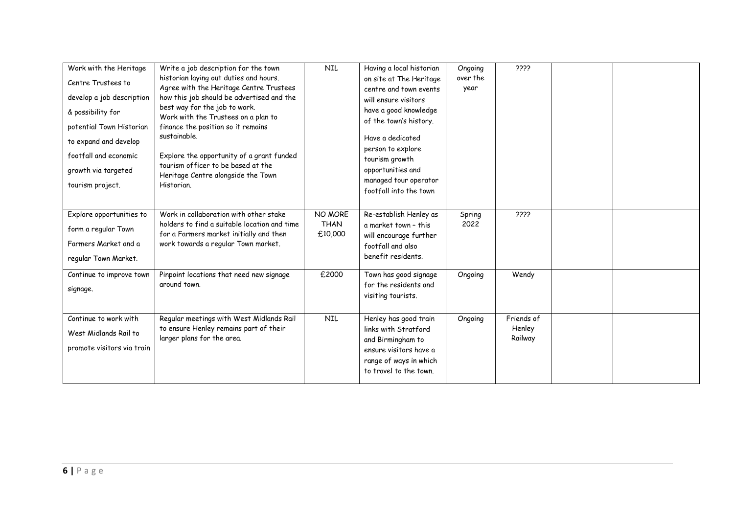| Work with the Heritage<br>Centre Trustees to<br>develop a job description<br>& possibility for<br>potential Town Historian<br>to expand and develop<br>footfall and economic | Write a job description for the town<br>historian laying out duties and hours.<br>Agree with the Heritage Centre Trustees<br>how this job should be advertised and the<br>best way for the job to work.<br>Work with the Trustees on a plan to<br>finance the position so it remains<br>sustainable.<br>Explore the opportunity of a grant funded | <b>NIL</b>                        | Having a local historian<br>on site at The Heritage<br>centre and town events<br>will ensure visitors<br>have a good knowledge<br>of the town's history.<br>Have a dedicated<br>person to explore<br>tourism growth | Ongoing<br>over the<br>year | 5555                            |  |
|------------------------------------------------------------------------------------------------------------------------------------------------------------------------------|---------------------------------------------------------------------------------------------------------------------------------------------------------------------------------------------------------------------------------------------------------------------------------------------------------------------------------------------------|-----------------------------------|---------------------------------------------------------------------------------------------------------------------------------------------------------------------------------------------------------------------|-----------------------------|---------------------------------|--|
| growth via targeted<br>tourism project.                                                                                                                                      | tourism officer to be based at the<br>Heritage Centre alongside the Town<br>Historian.                                                                                                                                                                                                                                                            |                                   | opportunities and<br>managed tour operator<br>footfall into the town                                                                                                                                                |                             |                                 |  |
| Explore opportunities to<br>form a regular Town<br>Farmers Market and a<br>regular Town Market.                                                                              | Work in collaboration with other stake<br>holders to find a suitable location and time<br>for a Farmers market initially and then<br>work towards a regular Town market.                                                                                                                                                                          | NO MORE<br><b>THAN</b><br>£10,000 | Re-establish Henley as<br>a market town - this<br>will encourage further<br>footfall and also<br>benefit residents.                                                                                                 | Spring<br>2022              | 2222                            |  |
| Continue to improve town<br>signage.                                                                                                                                         | Pinpoint locations that need new signage<br>around town.                                                                                                                                                                                                                                                                                          | £2000                             | Town has good signage<br>for the residents and<br>visiting tourists.                                                                                                                                                | Ongoing                     | Wendy                           |  |
| Continue to work with<br>West Midlands Rail to<br>promote visitors via train                                                                                                 | Regular meetings with West Midlands Rail<br>to ensure Henley remains part of their<br>larger plans for the area.                                                                                                                                                                                                                                  | <b>NIL</b>                        | Henley has good train<br>links with Stratford<br>and Birmingham to<br>ensure visitors have a<br>range of ways in which<br>to travel to the town.                                                                    | Ongoing                     | Friends of<br>Henley<br>Railway |  |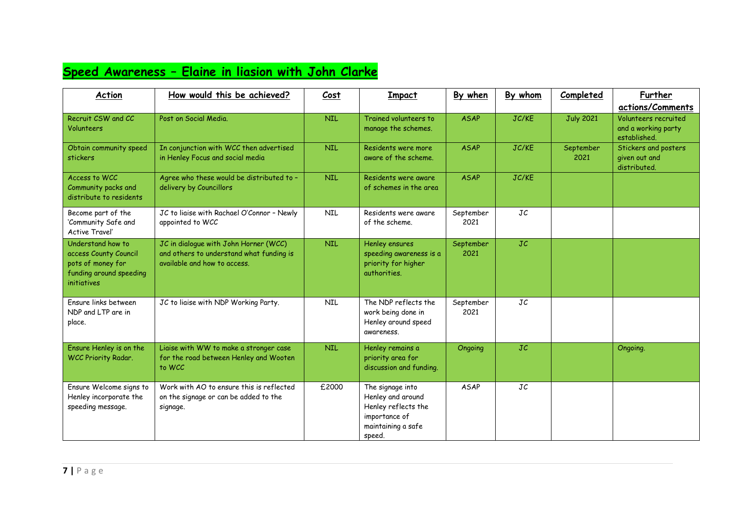## **Speed Awareness – Elaine in liasion with John Clarke**

| <b>Action</b>                                                                                                    | How would this be achieved?                                                                                       | Cost       | Impact                                                                                                        | By when           | By whom | Completed         | Further<br>actions/Comments                                 |
|------------------------------------------------------------------------------------------------------------------|-------------------------------------------------------------------------------------------------------------------|------------|---------------------------------------------------------------------------------------------------------------|-------------------|---------|-------------------|-------------------------------------------------------------|
| Recruit CSW and CC<br>Volunteers                                                                                 | Post on Social Media.                                                                                             | <b>NIL</b> | Trained volunteers to<br>manage the schemes.                                                                  | <b>ASAP</b>       | JC/KE   | <b>July 2021</b>  | Volunteers recruited<br>and a working party<br>established. |
| Obtain community speed<br>stickers                                                                               | In conjunction with WCC then advertised<br>in Henley Focus and social media                                       | <b>NIL</b> | Residents were more<br>aware of the scheme.                                                                   | <b>ASAP</b>       | JC/KE   | September<br>2021 | Stickers and posters<br>given out and<br>distributed.       |
| Access to WCC<br>Community packs and<br>distribute to residents                                                  | Agree who these would be distributed to -<br>delivery by Councillors                                              | <b>NIL</b> | Residents were aware<br>of schemes in the area                                                                | <b>ASAP</b>       | JC/KE   |                   |                                                             |
| Become part of the<br>'Community Safe and<br>Active Travel'                                                      | JC to liaise with Rachael O'Connor - Newly<br>appointed to WCC                                                    | <b>NIL</b> | Residents were aware<br>of the scheme.                                                                        | September<br>2021 | JC      |                   |                                                             |
| Understand how to<br>access County Council<br>pots of money for<br>funding around speeding<br><i>initiatives</i> | JC in dialogue with John Horner (WCC)<br>and others to understand what funding is<br>available and how to access. | <b>NIL</b> | Henley ensures<br>speeding awareness is a<br>priority for higher<br>authorities.                              | September<br>2021 | JC      |                   |                                                             |
| Fnsure links between<br>NDP and LTP are in<br>place.                                                             | JC to liaise with NDP Working Party.                                                                              | <b>NIL</b> | The NDP reflects the<br>work being done in<br>Henley around speed<br>awareness.                               | September<br>2021 | JC      |                   |                                                             |
| Ensure Henley is on the<br>WCC Priority Radar.                                                                   | Liaise with WW to make a stronger case<br>for the road between Henley and Wooten<br>to WCC                        | <b>NIL</b> | Henley remains a<br>priority area for<br>discussion and funding.                                              | Ongoing           | JC      |                   | Ongoing.                                                    |
| Ensure Welcome signs to<br>Henley incorporate the<br>speeding message.                                           | Work with AO to ensure this is reflected<br>on the signage or can be added to the<br>signage.                     | £2000      | The signage into<br>Henley and around<br>Henley reflects the<br>importance of<br>maintaining a safe<br>speed. | <b>ASAP</b>       | JC      |                   |                                                             |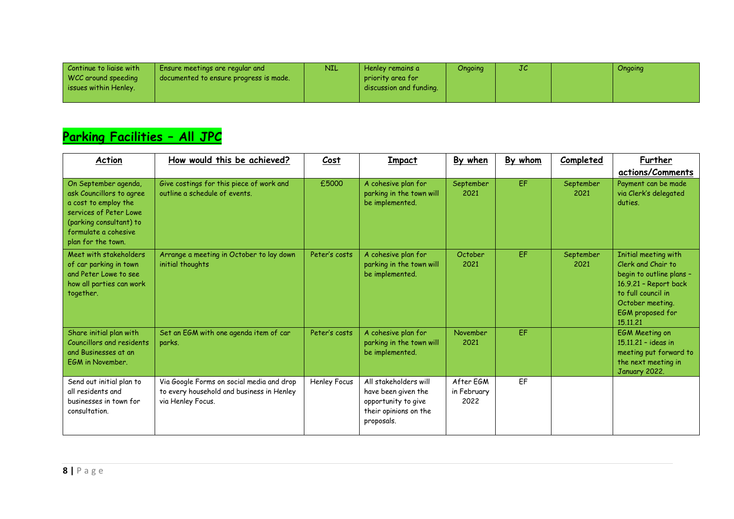| Continue to ligise with | Ensure meetings are regular and        | <b>NIL</b> | Henlev remains a        | Ongoing | JC | Ongoing |
|-------------------------|----------------------------------------|------------|-------------------------|---------|----|---------|
| WCC around speeding     | documented to ensure progress is made. |            | priority area for       |         |    |         |
| issues within Henley.   |                                        |            | discussion and funding. |         |    |         |
|                         |                                        |            |                         |         |    |         |

# **Parking Facilities – All JPC**

| Action                                                                                                                                                                      | How would this be achieved?                                                                                 | Cost          | <b>Impact</b>                                                                                              | By when                          | By whom   | Completed         | Further<br>actions/Comments                                                                                                                                               |
|-----------------------------------------------------------------------------------------------------------------------------------------------------------------------------|-------------------------------------------------------------------------------------------------------------|---------------|------------------------------------------------------------------------------------------------------------|----------------------------------|-----------|-------------------|---------------------------------------------------------------------------------------------------------------------------------------------------------------------------|
| On September agenda,<br>ask Councillors to agree<br>a cost to employ the<br>services of Peter Lowe<br>(parking consultant) to<br>formulate a cohesive<br>plan for the town. | Give costings for this piece of work and<br>outline a schedule of events.                                   | £5000         | A cohesive plan for<br>parking in the town will<br>be implemented.                                         | September<br>2021                | EF.       | September<br>2021 | Payment can be made<br>via Clerk's delegated<br>duties.                                                                                                                   |
| Meet with stakeholders<br>of car parking in town<br>and Peter Lowe to see<br>how all parties can work<br>together.                                                          | Arrange a meeting in October to lay down<br>initial thoughts                                                | Peter's costs | A cohesive plan for<br>parking in the town will<br>be implemented.                                         | October<br>2021                  | EF        | September<br>2021 | Initial meeting with<br>Clerk and Chair to<br>begin to outline plans -<br>16.9.21 - Report back<br>to full council in<br>October meeting.<br>EGM proposed for<br>15.11.21 |
| Share initial plan with<br>Councillors and residents<br>and Businesses at an<br>EGM in November.                                                                            | Set an EGM with one agenda item of car<br>parks.                                                            | Peter's costs | A cohesive plan for<br>parking in the town will<br>be implemented.                                         | November<br>2021                 | <b>FF</b> |                   | <b>EGM Meeting on</b><br>$15.11.21 -$ ideas in<br>meeting put forward to<br>the next meeting in<br>January 2022.                                                          |
| Send out initial plan to<br>all residents and<br>businesses in town for<br>consultation.                                                                                    | Via Google Forms on social media and drop<br>to every household and business in Henley<br>via Henley Focus. | Henley Focus  | All stakeholders will<br>have been given the<br>opportunity to give<br>their opinions on the<br>proposals. | After EGM<br>in February<br>2022 | FF        |                   |                                                                                                                                                                           |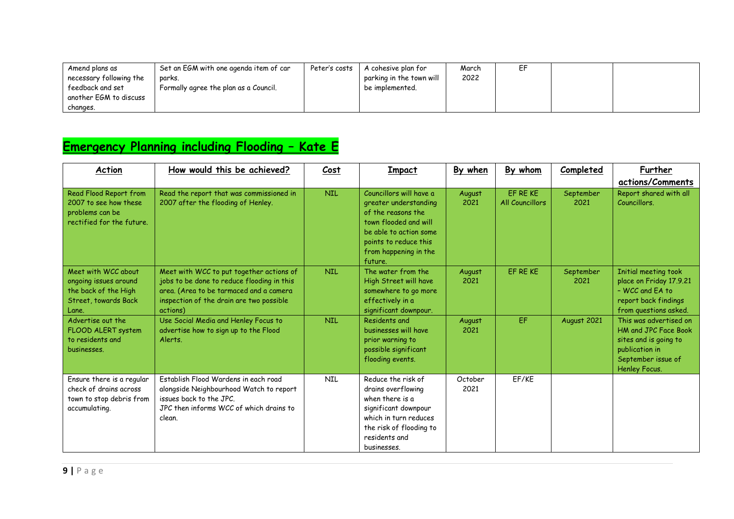| Amend plans as          | Set an EGM with one agenda item of car | Peter's costs | A cohesive plan for      | March | ΕF |  |
|-------------------------|----------------------------------------|---------------|--------------------------|-------|----|--|
| necessary following the | parks.                                 |               | parking in the town will | 2022  |    |  |
| feedback and set        | Formally agree the plan as a Council.  |               | be implemented.          |       |    |  |
| another EGM to discuss  |                                        |               |                          |       |    |  |
| changes.                |                                        |               |                          |       |    |  |

# **Emergency Planning including Flooding – Kate E**

| Action                                                                                                | How would this be achieved?                                                                                                                                                               | Cost       | Impact                                                                                                                                                                                 | By when         | By whom                     | Completed         | Further<br>actions/Comments                                                                                                      |
|-------------------------------------------------------------------------------------------------------|-------------------------------------------------------------------------------------------------------------------------------------------------------------------------------------------|------------|----------------------------------------------------------------------------------------------------------------------------------------------------------------------------------------|-----------------|-----------------------------|-------------------|----------------------------------------------------------------------------------------------------------------------------------|
| Read Flood Report from<br>2007 to see how these<br>problems can be<br>rectified for the future.       | Read the report that was commissioned in<br>2007 after the flooding of Henley.                                                                                                            | <b>NIL</b> | Councillors will have a<br>greater understanding<br>of the reasons the<br>town flooded and will<br>be able to action some<br>points to reduce this<br>from happening in the<br>future. | August<br>2021  | EF RE KE<br>All Councillors | September<br>2021 | Report shared with all<br>Councillors.                                                                                           |
| Meet with WCC about<br>ongoing issues around<br>the back of the High<br>Street, towards Back<br>Lane. | Meet with WCC to put together actions of<br>jobs to be done to reduce flooding in this<br>area. (Area to be tarmaced and a camera<br>inspection of the drain are two possible<br>actions) | <b>NIL</b> | The water from the<br>High Street will have<br>somewhere to go more<br>effectively in a<br>significant downpour.                                                                       | August<br>2021  | EF RE KE                    | September<br>2021 | Initial meeting took<br>place on Friday 17.9.21<br>- WCC and FA to<br>report back findings<br>from questions asked.              |
| Advertise out the<br>FLOOD ALERT system<br>to residents and<br>businesses.                            | Use Social Media and Henley Focus to<br>advertise how to sign up to the Flood<br>Alerts.                                                                                                  | <b>NIL</b> | Residents and<br>businesses will have<br>prior warning to<br>possible significant<br>flooding events.                                                                                  | August<br>2021  | EF                          | August 2021       | This was advertised on<br>HM and JPC Face Book<br>sites and is going to<br>publication in<br>September issue of<br>Henley Focus. |
| Ensure there is a regular<br>check of drains across<br>town to stop debris from<br>accumulating.      | Establish Flood Wardens in each road<br>alongside Neighbourhood Watch to report<br>issues back to the JPC.<br>JPC then informs WCC of which drains to<br>clean.                           | NIL        | Reduce the risk of<br>drains overflowing<br>when there is a<br>significant downpour<br>which in turn reduces<br>the risk of flooding to<br>residents and<br>businesses.                | October<br>2021 | EF/KE                       |                   |                                                                                                                                  |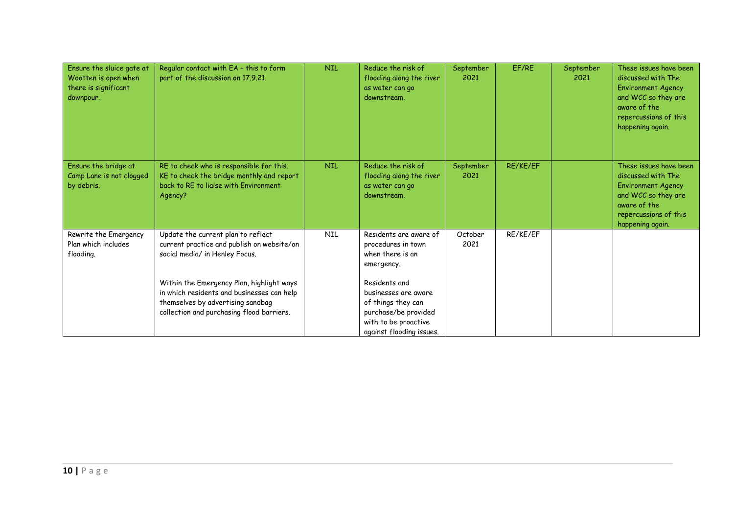| Ensure the sluice gate at<br>Wootten is open when<br>there is significant<br>downpour. | Regular contact with EA - this to form<br>part of the discussion on 17.9.21.                                                                                              | <b>NIL</b> | Reduce the risk of<br>flooding along the river<br>as water can go<br>downstream.                                       | September<br>2021 | EF/RE    | September<br>2021 | These issues have been<br>discussed with The<br><b>Environment Agency</b><br>and WCC so they are<br>aware of the<br>repercussions of this<br>happening again. |
|----------------------------------------------------------------------------------------|---------------------------------------------------------------------------------------------------------------------------------------------------------------------------|------------|------------------------------------------------------------------------------------------------------------------------|-------------------|----------|-------------------|---------------------------------------------------------------------------------------------------------------------------------------------------------------|
| Ensure the bridge at<br>Camp Lane is not clogged<br>by debris.                         | RE to check who is responsible for this.<br>KE to check the bridge monthly and report<br>back to RE to ligise with Environment<br>Agency?                                 | <b>NIL</b> | Reduce the risk of<br>flooding along the river<br>as water can go<br>downstream.                                       | September<br>2021 | RE/KE/EF |                   | These issues have been<br>discussed with The<br><b>Environment Agency</b><br>and WCC so they are<br>aware of the<br>repercussions of this<br>happening again. |
| Rewrite the Emergency<br>Plan which includes<br>flooding.                              | Update the current plan to reflect<br>current practice and publish on website/on<br>social media/ in Henley Focus.                                                        | <b>NIL</b> | Residents are aware of<br>procedures in town<br>when there is an<br>emergency.<br>Residents and                        | October<br>2021   | RE/KE/EF |                   |                                                                                                                                                               |
|                                                                                        | Within the Emergency Plan, highlight ways<br>in which residents and businesses can help<br>themselves by advertising sandbag<br>collection and purchasing flood barriers. |            | businesses are aware<br>of things they can<br>purchase/be provided<br>with to be proactive<br>against flooding issues. |                   |          |                   |                                                                                                                                                               |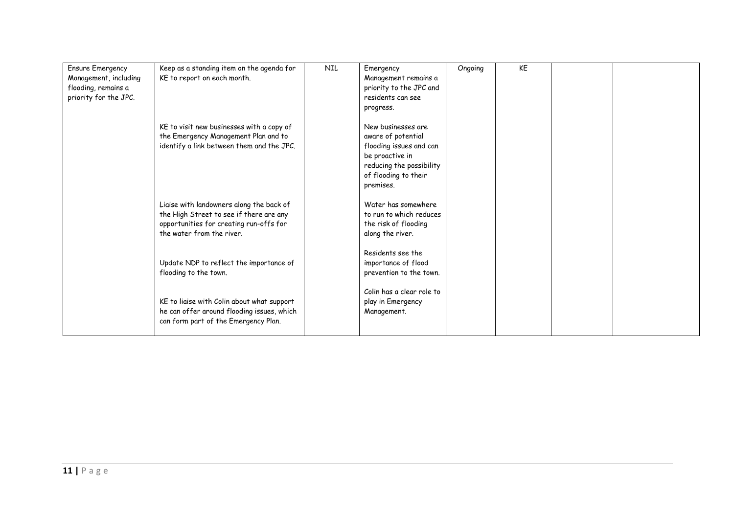| <b>Ensure Emergency</b> | Keep as a standing item on the agenda for  | <b>NIL</b> | Emergency                 | Ongoing | KE |  |
|-------------------------|--------------------------------------------|------------|---------------------------|---------|----|--|
| Management, including   | KE to report on each month.                |            | Management remains a      |         |    |  |
| flooding, remains a     |                                            |            | priority to the JPC and   |         |    |  |
| priority for the JPC.   |                                            |            | residents can see         |         |    |  |
|                         |                                            |            | progress.                 |         |    |  |
|                         | KE to visit new businesses with a copy of  |            | New businesses are        |         |    |  |
|                         | the Emergency Management Plan and to       |            | aware of potential        |         |    |  |
|                         | identify a link between them and the JPC.  |            | flooding issues and can   |         |    |  |
|                         |                                            |            | be proactive in           |         |    |  |
|                         |                                            |            | reducing the possibility  |         |    |  |
|                         |                                            |            | of flooding to their      |         |    |  |
|                         |                                            |            | premises.                 |         |    |  |
|                         | Liaise with landowners along the back of   |            | Water has somewhere       |         |    |  |
|                         | the High Street to see if there are any    |            | to run to which reduces   |         |    |  |
|                         | opportunities for creating run-offs for    |            | the risk of flooding      |         |    |  |
|                         | the water from the river.                  |            | along the river.          |         |    |  |
|                         |                                            |            | Residents see the         |         |    |  |
|                         | Update NDP to reflect the importance of    |            | importance of flood       |         |    |  |
|                         | flooding to the town.                      |            | prevention to the town.   |         |    |  |
|                         |                                            |            |                           |         |    |  |
|                         |                                            |            | Colin has a clear role to |         |    |  |
|                         | KE to liaise with Colin about what support |            | play in Emergency         |         |    |  |
|                         | he can offer around flooding issues, which |            | Management.               |         |    |  |
|                         | can form part of the Emergency Plan.       |            |                           |         |    |  |
|                         |                                            |            |                           |         |    |  |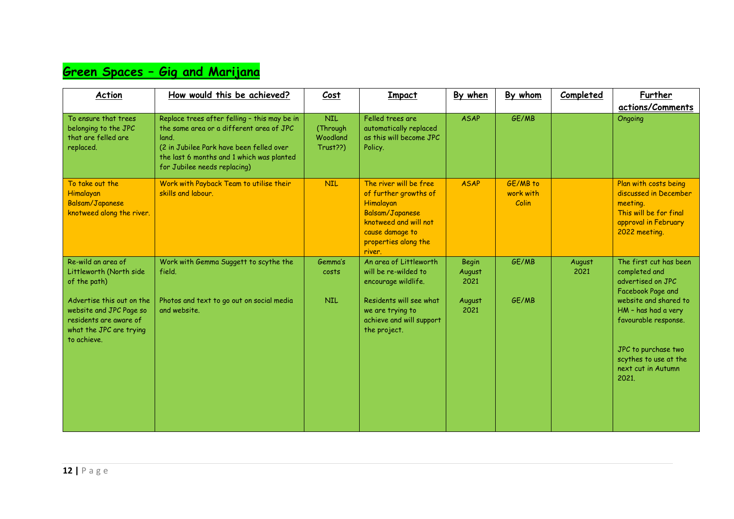### **Green Spaces – Gig and Marijana**

| Action                                                                                                                                                                     | How would this be achieved?                                                                                                                                                                                                | Cost                                           | Impact                                                                                                                                                           | By when                                          | By whom                        | Completed      | Further<br>actions/Comments                                                                                                                               |
|----------------------------------------------------------------------------------------------------------------------------------------------------------------------------|----------------------------------------------------------------------------------------------------------------------------------------------------------------------------------------------------------------------------|------------------------------------------------|------------------------------------------------------------------------------------------------------------------------------------------------------------------|--------------------------------------------------|--------------------------------|----------------|-----------------------------------------------------------------------------------------------------------------------------------------------------------|
| To ensure that trees<br>belonging to the JPC<br>that are felled are<br>replaced.                                                                                           | Replace trees after felling - this may be in<br>the same area or a different area of JPC<br>land.<br>(2 in Jubilee Park have been felled over<br>the last 6 months and 1 which was planted<br>for Jubilee needs replacing) | <b>NIL</b><br>(Through<br>Woodland<br>Trust??) | Felled trees are<br>automatically replaced<br>as this will become JPC<br>Policy.                                                                                 | <b>ASAP</b>                                      | GE/MB                          |                | Ongoing                                                                                                                                                   |
| To take out the<br>Himalayan<br>Balsam/Japanese<br>knotweed along the river.                                                                                               | Work with Payback Team to utilise their<br>skills and labour.                                                                                                                                                              | <b>NIL</b>                                     | The river will be free<br>of further growths of<br>Himalayan<br>Balsam/Japanese<br>knotweed and will not<br>cause damage to<br>properties along the<br>river.    | <b>ASAP</b>                                      | GE/MB to<br>work with<br>Colin |                | Plan with costs being<br>discussed in December<br>meeting.<br>This will be for final<br>approval in February<br>2022 meeting.                             |
| Re-wild an area of<br>Littleworth (North side<br>of the path)<br>Advertise this out on the<br>website and JPC Page so<br>residents are aware of<br>what the JPC are trying | Work with Gemma Suggett to scythe the<br>field.<br>Photos and text to go out on social media<br>and website.                                                                                                               | Gemma's<br>costs<br><b>NIL</b>                 | An area of Littleworth<br>will be re-wilded to<br>encourage wildlife.<br>Residents will see what<br>we are trying to<br>achieve and will support<br>the project. | <b>Begin</b><br>August<br>2021<br>August<br>2021 | GE/MB<br>GE/MB                 | August<br>2021 | The first cut has been<br>completed and<br>advertised on JPC<br>Facebook Page and<br>website and shared to<br>HM - has had a very<br>favourable response. |
| to achieve.                                                                                                                                                                |                                                                                                                                                                                                                            |                                                |                                                                                                                                                                  |                                                  |                                |                | JPC to purchase two<br>scythes to use at the<br>next cut in Autumn<br>2021.                                                                               |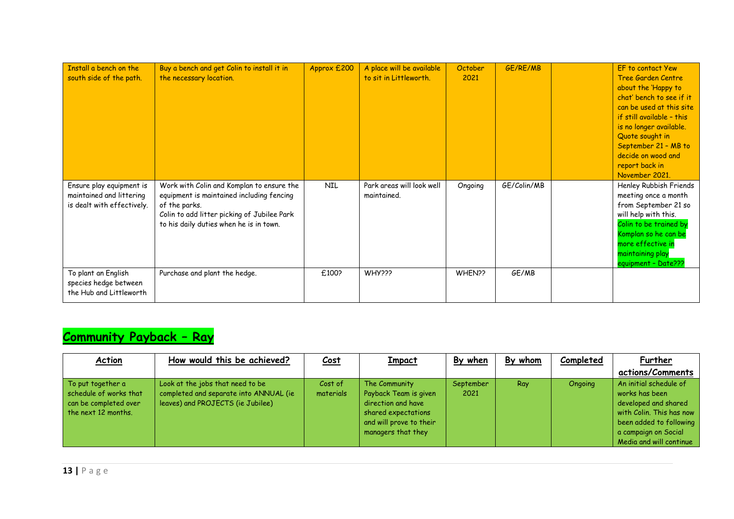| Install a bench on the<br>south side of the path.                                  | Buy a bench and get Colin to install it in<br>the necessary location.                                                                                                                             | Approx £200 | A place will be available<br>to sit in Littleworth. | October<br>2021 | GE/RE/MB    | EF to contact Yew<br>Tree Garden Centre<br>about the 'Happy to<br>chat' bench to see if it<br>can be used at this site<br>if still available - this<br>is no longer available.<br>Quote sought in<br>September 21 - MB to<br>decide on wood and<br>report back in<br>November 2021. |
|------------------------------------------------------------------------------------|---------------------------------------------------------------------------------------------------------------------------------------------------------------------------------------------------|-------------|-----------------------------------------------------|-----------------|-------------|-------------------------------------------------------------------------------------------------------------------------------------------------------------------------------------------------------------------------------------------------------------------------------------|
| Ensure play equipment is<br>maintained and littering<br>is dealt with effectively. | Work with Colin and Komplan to ensure the<br>equipment is maintained including fencing<br>of the parks.<br>Colin to add litter picking of Jubilee Park<br>to his daily duties when he is in town. | <b>NIL</b>  | Park areas will look well<br>maintained.            | Ongoing         | GE/Colin/MB | Henley Rubbish Friends<br>meeting once a month<br>from September 21 so<br>will help with this.<br>Colin to be trained by<br>Komplan so he can be<br>more effective in<br>maintaining play<br>equipment - Date???                                                                    |
| To plant an English<br>species hedge between<br>the Hub and Littleworth            | Purchase and plant the hedge.                                                                                                                                                                     | £100?       | WHY???                                              | WHEN??          | GE/MB       |                                                                                                                                                                                                                                                                                     |

## **Community Payback – Ray**

| Action                                                                                        | How would this be achieved?                                                                                     | <u>Cost</u>          | <b>Impact</b>                                                                                                                        | By when           | By whom | Completed | Further                                                                                                                                                                    |
|-----------------------------------------------------------------------------------------------|-----------------------------------------------------------------------------------------------------------------|----------------------|--------------------------------------------------------------------------------------------------------------------------------------|-------------------|---------|-----------|----------------------------------------------------------------------------------------------------------------------------------------------------------------------------|
|                                                                                               |                                                                                                                 |                      |                                                                                                                                      |                   |         |           | actions/Comments                                                                                                                                                           |
| To put together a<br>schedule of works that<br>can be completed over<br>the next $12$ months. | Look at the jobs that need to be<br>completed and separate into ANNUAL (ie<br>leaves) and PROJECTS (ie Jubilee) | Cost of<br>materials | The Community<br>Payback Team is given<br>direction and have<br>shared expectations<br>and will prove to their<br>managers that they | September<br>2021 | Ray     | Ongoing   | An initial schedule of<br>works has been<br>developed and shared<br>with Colin. This has now<br>been added to following<br>a campaign on Social<br>Media and will continue |